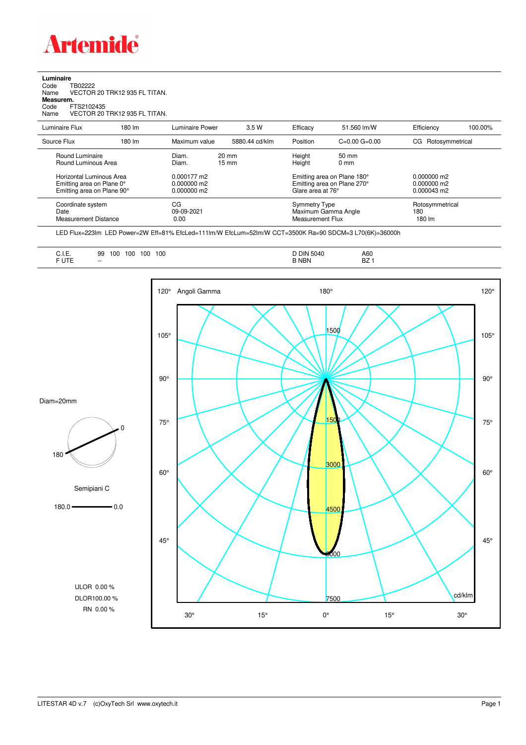

## **Luminaire**<br>Code T<br>Name \ Code TB02222 Name VECTOR 20 TRK12 935 FL TITAN. **Measurem.** Code FTS2102435 Name VECTOR 20 TRK12 935 FL TITAN.

| Name                                                                                | VECTOR 20 TRK12 935 FL THAN. |                                           |                          |                   |                                                            |                                                      |         |
|-------------------------------------------------------------------------------------|------------------------------|-------------------------------------------|--------------------------|-------------------|------------------------------------------------------------|------------------------------------------------------|---------|
| Luminaire Flux                                                                      | 180 lm                       | Luminaire Power                           | 3.5 W                    | Efficacy          | 51.560 lm/W                                                | Efficiency                                           | 100.00% |
| Source Flux                                                                         | 180 lm                       | Maximum value                             | 5880.44 cd/klm           | Position          | $C=0.00$ $G=0.00$                                          | CG Rotosymmetrical                                   |         |
| Round Luminaire<br>Round Luminous Area                                              |                              | Diam.<br>Diam.                            | $20 \text{ mm}$<br>15 mm | Height<br>Height  | 50 mm<br>0 <sub>mm</sub>                                   |                                                      |         |
| Horizontal Luminous Area<br>Emitting area on Plane 0°<br>Emitting area on Plane 90° |                              | 0.000177 m2<br>0.000000 m2<br>N NUUNUU m2 |                          | Glara aras at 76° | Emitting area on Plane 180°<br>Emitting area on Plane 270° | $0.000000$ m2<br>0.000000 m2<br>$0.000043 \text{ m}$ |         |

| Emitting area on Plane 90° | 0.000000 m2 | Glare area at 76°   | 0.000043 m2     |
|----------------------------|-------------|---------------------|-----------------|
| Coordinate system          | CG          | Symmetry Type       | Rotosymmetrical |
| Date                       | 09-09-2021  | Maximum Gamma Angle | 180             |
| Measurement Distance       | 0.00        | Measurement Flux    | 180 lm          |

LED Flux=223lm LED Power=2W Eff=81% EfcLed=111lm/W EfcLum=52lm/W CCT=3500K Ra=90 SDCM=3 L70(6K)=36000h